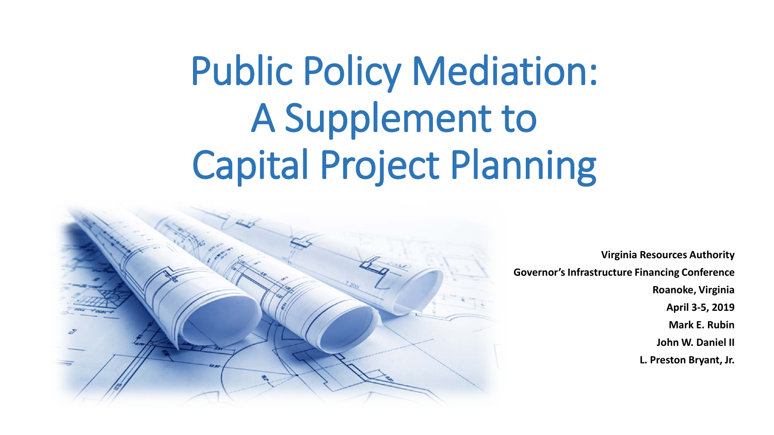# Public Policy Mediation: A Supplement to Capital Project Planning



**Virginia Resources Authority Governor's Infrastructure Financing Conference Roanoke, Virginia April 3-5, 2019 Mark E. Rubin John W. Daniel II L. Preston Bryant, Jr.**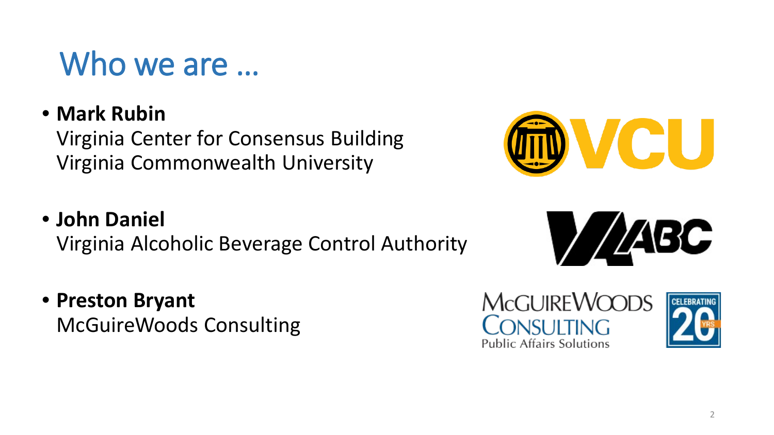#### Who we are ...

• **Mark Rubin**

Virginia Center for Consensus Building Virginia Commonwealth University

#### • **John Daniel**

Virginia Alcoholic Beverage Control Authority

• **Preston Bryant**

McGuireWoods Consulting







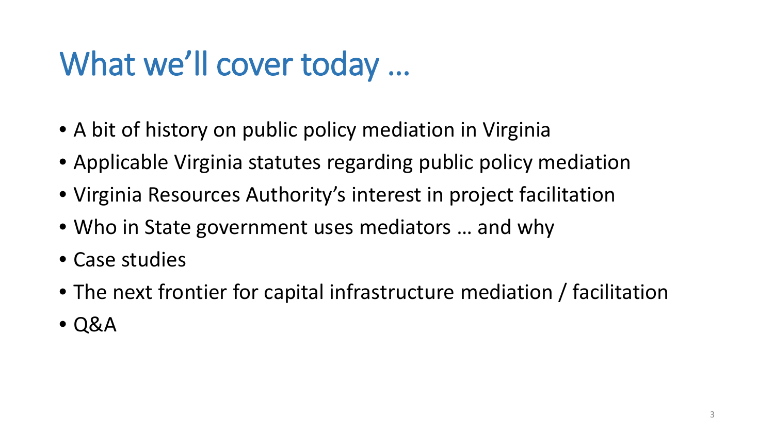#### What we'll cover today …

- A bit of history on public policy mediation in Virginia
- Applicable Virginia statutes regarding public policy mediation
- Virginia Resources Authority's interest in project facilitation
- Who in State government uses mediators … and why
- Case studies
- The next frontier for capital infrastructure mediation / facilitation
- Q&A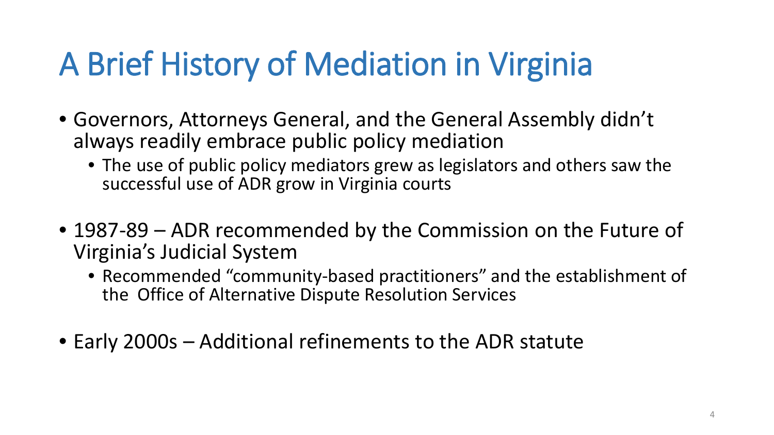#### A Brief History of Mediation in Virginia

- Governors, Attorneys General, and the General Assembly didn't always readily embrace public policy mediation
	- The use of public policy mediators grew as legislators and others saw the successful use of ADR grow in Virginia courts
- 1987-89 ADR recommended by the Commission on the Future of Virginia's Judicial System
	- Recommended "community-based practitioners" and the establishment of the Office of Alternative Dispute Resolution Services
- Early 2000s Additional refinements to the ADR statute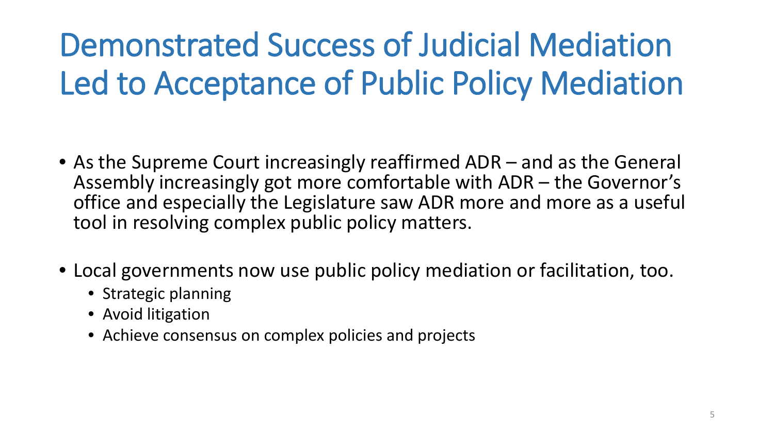### Demonstrated Success of Judicial Mediation Led to Acceptance of Public Policy Mediation

- As the Supreme Court increasingly reaffirmed ADR and as the General Assembly increasingly got more comfortable with ADR – the Governor's office and especially the Legislature saw ADR more and more as a useful tool in resolving complex public policy matters.
- Local governments now use public policy mediation or facilitation, too.
	- Strategic planning
	- Avoid litigation
	- Achieve consensus on complex policies and projects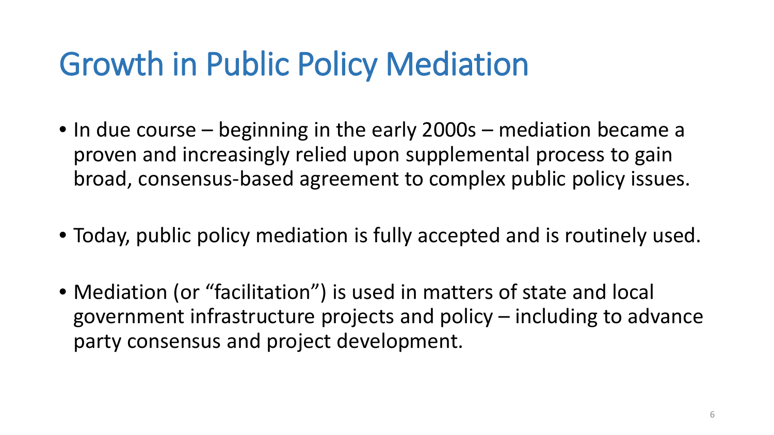#### Growth in Public Policy Mediation

- In due course beginning in the early 2000s mediation became a proven and increasingly relied upon supplemental process to gain broad, consensus-based agreement to complex public policy issues.
- Today, public policy mediation is fully accepted and is routinely used.
- Mediation (or "facilitation") is used in matters of state and local government infrastructure projects and policy – including to advance party consensus and project development.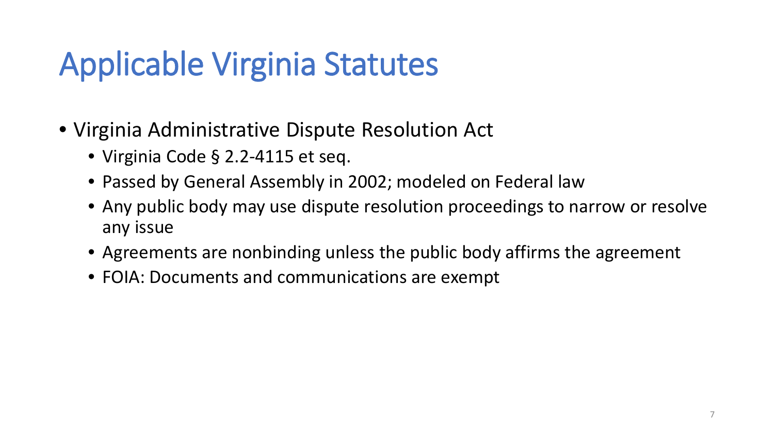#### Applicable Virginia Statutes

- Virginia Administrative Dispute Resolution Act
	- Virginia Code § 2.2-4115 et seq.
	- Passed by General Assembly in 2002; modeled on Federal law
	- Any public body may use dispute resolution proceedings to narrow or resolve any issue
	- Agreements are nonbinding unless the public body affirms the agreement
	- FOIA: Documents and communications are exempt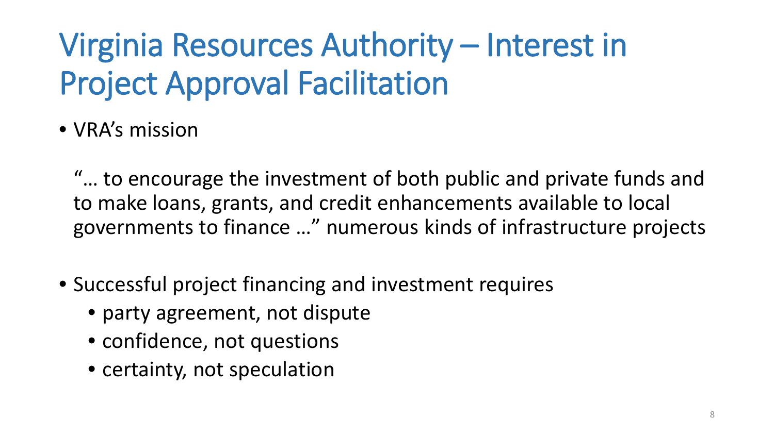#### Virginia Resources Authority – Interest in Project Approval Facilitation

• VRA's mission

"… to encourage the investment of both public and private funds and to make loans, grants, and credit enhancements available to local governments to finance …" numerous kinds of infrastructure projects

- Successful project financing and investment requires
	- party agreement, not dispute
	- confidence, not questions
	- certainty, not speculation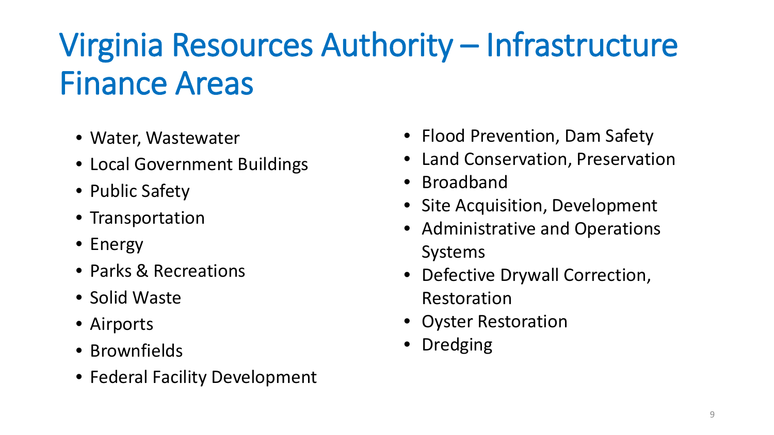### Virginia Resources Authority – Infrastructure Finance Areas

- Water, Wastewater
- Local Government Buildings
- Public Safety
- Transportation
- Energy
- Parks & Recreations
- Solid Waste
- Airports
- Brownfields
- Federal Facility Development
- Flood Prevention, Dam Safety
- Land Conservation, Preservation
- Broadband
- Site Acquisition, Development
- Administrative and Operations Systems
- Defective Drywall Correction, Restoration
- Oyster Restoration
- Dredging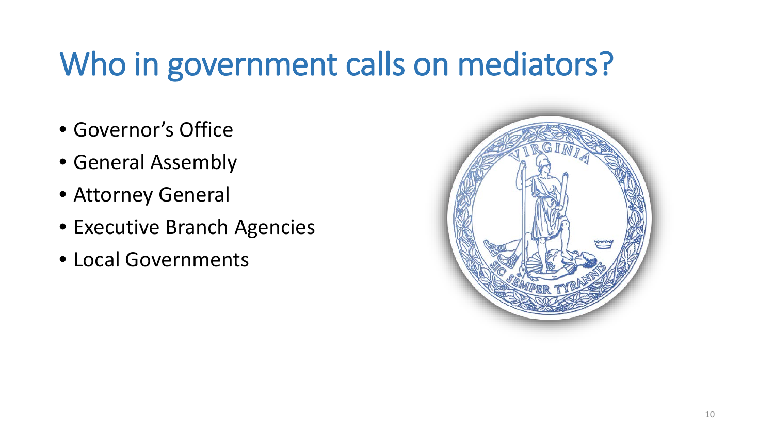#### Who in government calls on mediators?

- Governor's Office
- General Assembly
- Attorney General
- Executive Branch Agencies
- Local Governments

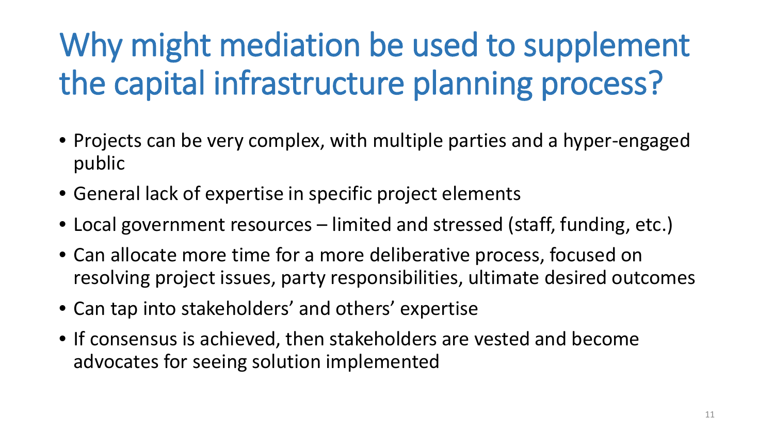## Why might mediation be used to supplement the capital infrastructure planning process?

- Projects can be very complex, with multiple parties and a hyper-engaged public
- General lack of expertise in specific project elements
- Local government resources limited and stressed (staff, funding, etc.)
- Can allocate more time for a more deliberative process, focused on resolving project issues, party responsibilities, ultimate desired outcomes
- Can tap into stakeholders' and others' expertise
- If consensus is achieved, then stakeholders are vested and become advocates for seeing solution implemented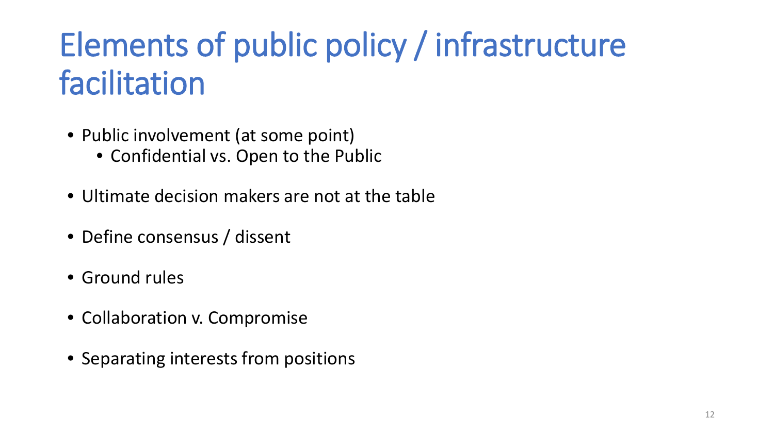#### Elements of public policy / infrastructure facilitation

- Public involvement (at some point)
	- Confidential vs. Open to the Public
- Ultimate decision makers are not at the table
- Define consensus / dissent
- Ground rules
- Collaboration v. Compromise
- Separating interests from positions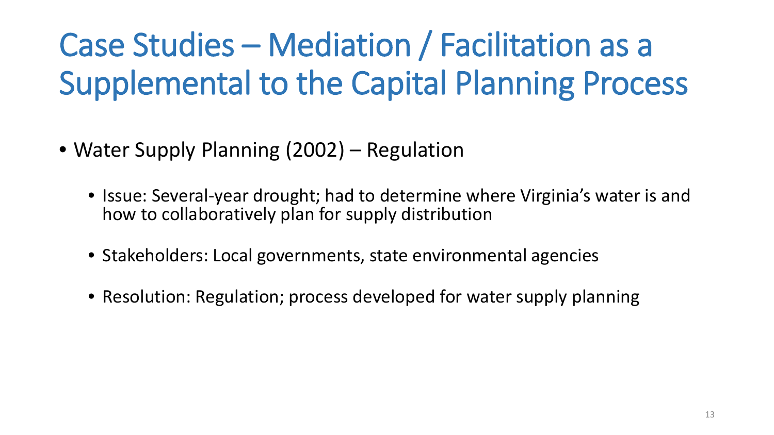### Case Studies – Mediation / Facilitation as a Supplemental to the Capital Planning Process

- Water Supply Planning (2002) Regulation
	- Issue: Several-year drought; had to determine where Virginia's water is and how to collaboratively plan for supply distribution
	- Stakeholders: Local governments, state environmental agencies
	- Resolution: Regulation; process developed for water supply planning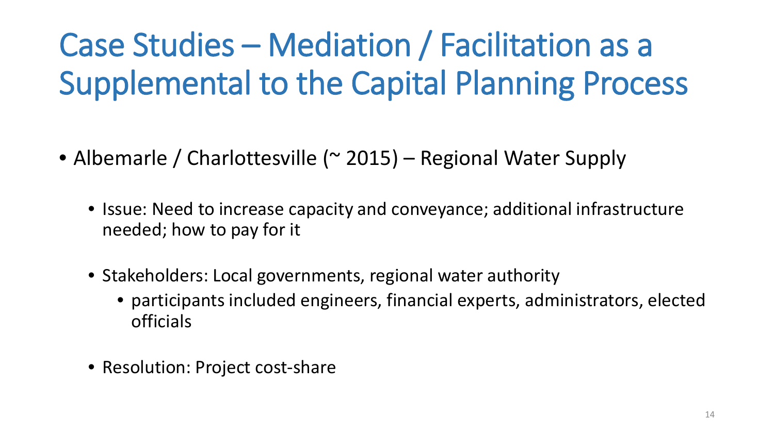### Case Studies – Mediation / Facilitation as a Supplemental to the Capital Planning Process

- Albemarle / Charlottesville (~ 2015) Regional Water Supply
	- Issue: Need to increase capacity and conveyance; additional infrastructure needed; how to pay for it
	- Stakeholders: Local governments, regional water authority
		- participants included engineers, financial experts, administrators, elected officials
	- Resolution: Project cost-share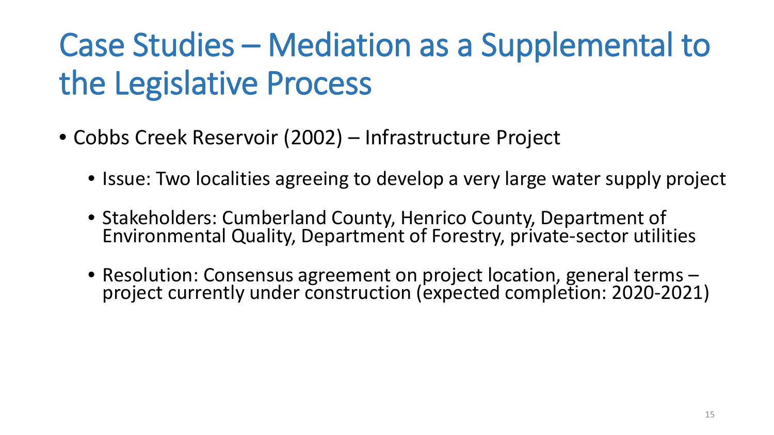- Cobbs Creek Reservoir (2002) Infrastructure Project
	- Issue: Two localities agreeing to develop a very large water supply project
	- Stakeholders: Cumberland County, Henrico County, Department of Environmental Quality, Department of Forestry, private-sector utilities
	- Resolution: Consensus agreement on project location, general terms project currently under construction (expected completion: 2020-2021)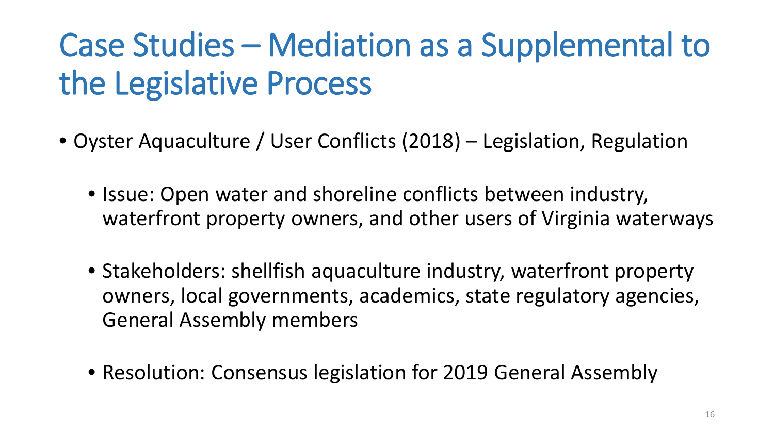- Oyster Aquaculture / User Conflicts (2018) Legislation, Regulation
	- Issue: Open water and shoreline conflicts between industry, waterfront property owners, and other users of Virginia waterways
	- Stakeholders: shellfish aquaculture industry, waterfront property owners, local governments, academics, state regulatory agencies, General Assembly members
	- Resolution: Consensus legislation for 2019 General Assembly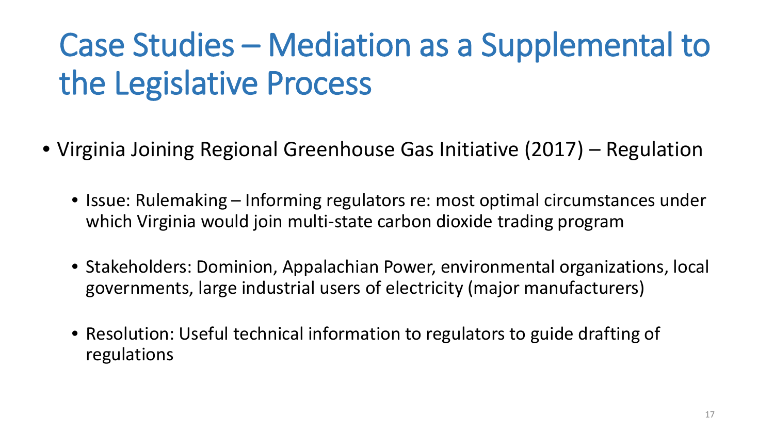- Virginia Joining Regional Greenhouse Gas Initiative (2017) Regulation
	- Issue: Rulemaking Informing regulators re: most optimal circumstances under which Virginia would join multi-state carbon dioxide trading program
	- Stakeholders: Dominion, Appalachian Power, environmental organizations, local governments, large industrial users of electricity (major manufacturers)
	- Resolution: Useful technical information to regulators to guide drafting of regulations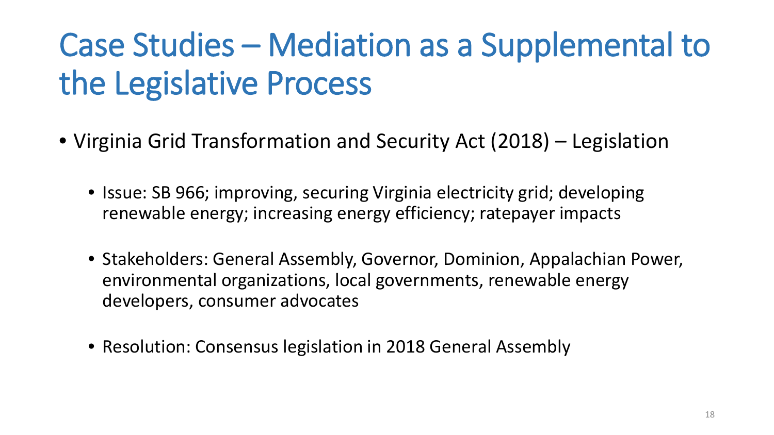- Virginia Grid Transformation and Security Act (2018) Legislation
	- Issue: SB 966; improving, securing Virginia electricity grid; developing renewable energy; increasing energy efficiency; ratepayer impacts
	- Stakeholders: General Assembly, Governor, Dominion, Appalachian Power, environmental organizations, local governments, renewable energy developers, consumer advocates
	- Resolution: Consensus legislation in 2018 General Assembly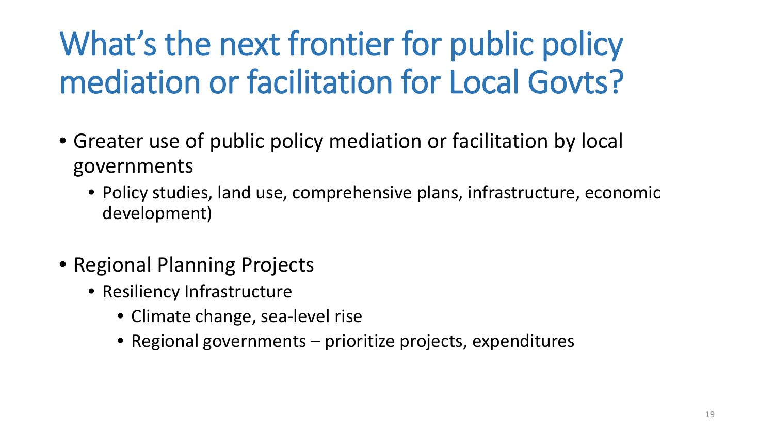### What's the next frontier for public policy mediation or facilitation for Local Govts?

- Greater use of public policy mediation or facilitation by local governments
	- Policy studies, land use, comprehensive plans, infrastructure, economic development)
- Regional Planning Projects
	- Resiliency Infrastructure
		- Climate change, sea-level rise
		- Regional governments prioritize projects, expenditures